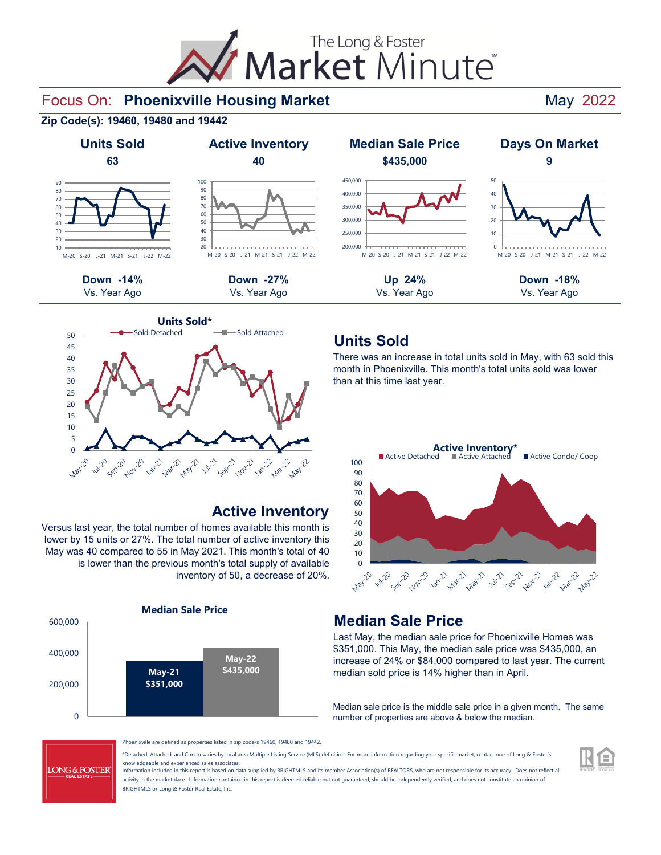# The Long & Foster<br>
Market Minute®

#### Focus On: Phoenixville Housing Market **And Access 19 and Access 19 and Access 19 and Access 19 and Access 19 and Access 19 and Access 19 and Access 19 and Access 19 and Access 19 and Access 19 and Access 19 and Access 19 a**









#### **Active Inventory**

Versus last year, the total number of homes available this month is lower by 15 units or 27%. The total number of active inventory this May was 40 compared to 55 in May 2021. This month's total of 40 is lower than the previous month's total supply of available inventory of 50, a decrease of 20%.





#### **Units Sold**

There was an increase in total units sold in May, with 63 sold this month in Phoenixville. This month's total units sold was lower than at this time last year.



#### **Median Sale Price**

Last May, the median sale price for Phoenixville Homes was \$351,000. This May, the median sale price was \$435,000, an increase of 24% or \$84,000 compared to last year. The current median sold price is 14% higher than in April.

Median sale price is the middle sale price in a given month. The same number of properties are above & below the median.



Phoenixville are defined as properties listed in zip code/s 19460, 19480 and 19442.

\*Detached, Attached, and Condo varies by local area Multiple Listing Service (MLS) definition. For more information regarding your specific market, contact one of Long & Foster's knowledgeable and experienced sales associates.

Information included in this report is based on data supplied by BRIGHTMLS and its member Association(s) of REALTORS, who are not responsible for its accuracy. Does not reflect all activity in the marketplace. Information contained in this report is deemed reliable but not guaranteed, should be independently verified, and does not constitute an opinion of BRIGHTMLS or Long & Foster Real Estate, Inc.